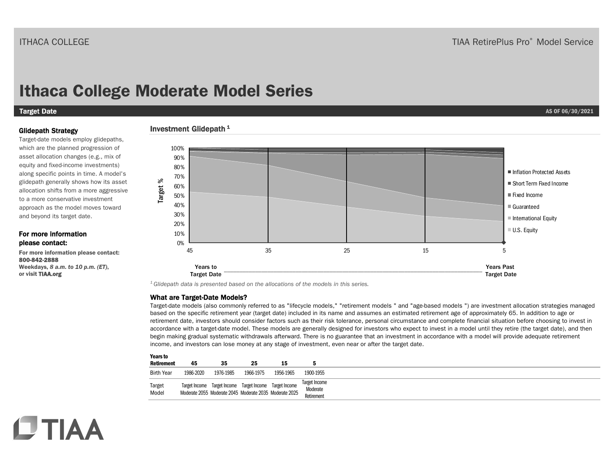# **Ithaca College Moderate Model Series**

#### Target Date **AS OF 06/30/2021**

#### Glidepath Strategy

Target-date models employ glidepaths, which are the planned progression of asset allocation changes (e.g., mix of equity and fixed-income investments) along specific points in time. A model's glidepath generally shows how its asset allocation shifts from a more aggressive to a more conservative investment approach as the model moves toward and beyond its target date.

#### For more information please contact:

**CTIAA** 

For more information please contact: 800-842-2888 Weekdays, *8 a.m. to 10 p.m. (ET)*, or visit TIAA.org

#### Investment Glidepath<sup>1</sup>



*1 Glidepath data is presented based on the allocations of the models in this series.* 

#### What are Target-Date Models?

Target-date models (also commonly referred to as "lifecycle models," "retirement models " and "age-based models ") are investment allocation strategies managed based on the specific retirement year (target date) included in its name and assumes an estimated retirement age of approximately 65. In addition to age or retirement date, investors should consider factors such as their risk tolerance, personal circumstance and complete financial situation before choosing to invest in accordance with a target-date model. These models are generally designed for investors who expect to invest in a model until they retire (the target date), and then begin making gradual systematic withdrawals afterward. There is no guarantee that an investment in accordance with a model will provide adequate retirement income, and investors can lose money at any stage of investment, even near or after the target date.

| <b>Years to</b>   |                                                         |           |                                                         |           |                                  |
|-------------------|---------------------------------------------------------|-----------|---------------------------------------------------------|-----------|----------------------------------|
| <b>Retirement</b> | 45                                                      | 35        | 25                                                      | 15        |                                  |
| <b>Birth Year</b> | 1986-2020                                               | 1976-1985 | 1966-1975                                               | 1956-1965 | 1900-1955                        |
| Target<br>Model   |                                                         |           | Target Income Target Income Target Income Target Income |           | <b>Target Income</b><br>Moderate |
|                   | Moderate 2055 Moderate 2045 Moderate 2035 Moderate 2025 |           |                                                         |           | Retirement                       |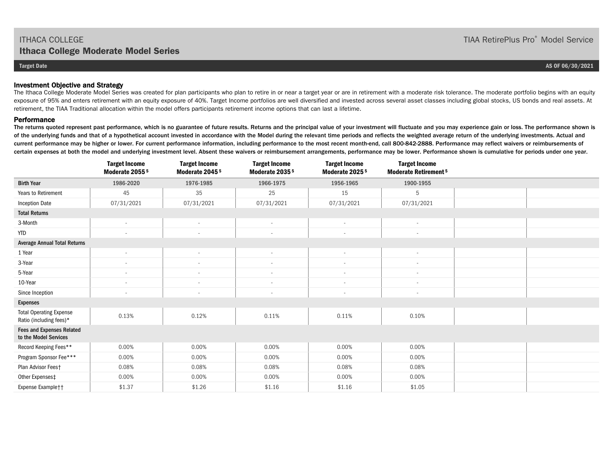#### Investment Objective and Strategy

The Ithaca College Moderate Model Series was created for plan participants who plan to retire in or near a target year or are in retirement with a moderate risk tolerance. The moderate portfolio begins with an equity exposure of 95% and enters retirement with an equity exposure of 40%. Target Income portfolios are well diversified and invested across several asset classes including global stocks, US bonds and real assets. At retirement, the TIAA Traditional allocation within the model offers participants retirement income options that can last a lifetime.

#### **Performance**

The returns quoted represent past performance, which is no guarantee of future results. Returns and the principal value of your investment will fluctuate and you may experience gain or loss. The performance shown is of the underlying funds and that of a hypothetical account invested in accordance with the Model during the relevant time periods and reflects the weighted average return of the underlying investments. Actual and current performance may be higher or lower. For current performance information, including performance to the most recent month-end, call 800-842-2888. Performance may reflect waivers or reimbursements of certain expenses at both the model and underlying investment level. Absent these waivers or reimbursement arrangements, performance may be lower. Performance shown is cumulative for periods under one year.

|                                                           | <b>Target Income</b><br>Moderate 2055 <sup>5</sup> | <b>Target Income</b><br>Moderate 2045 <sup>5</sup> | <b>Target Income</b><br>Moderate 2035 <sup>5</sup> | <b>Target Income</b><br>Moderate 2025 <sup>5</sup> | <b>Target Income</b><br><b>Moderate Retirement 5</b> |  |
|-----------------------------------------------------------|----------------------------------------------------|----------------------------------------------------|----------------------------------------------------|----------------------------------------------------|------------------------------------------------------|--|
| <b>Birth Year</b>                                         | 1986-2020                                          | 1976-1985                                          | 1966-1975                                          | 1956-1965                                          | 1900-1955                                            |  |
| Years to Retirement                                       | 45                                                 | 35                                                 | 25                                                 | 15                                                 | 5                                                    |  |
| <b>Inception Date</b>                                     | 07/31/2021                                         | 07/31/2021                                         | 07/31/2021                                         | 07/31/2021                                         | 07/31/2021                                           |  |
| <b>Total Returns</b>                                      |                                                    |                                                    |                                                    |                                                    |                                                      |  |
| 3-Month                                                   | $\sim$                                             | $\overline{\phantom{a}}$                           | $\overline{\phantom{a}}$                           | $\sim$                                             | $\overline{\phantom{a}}$                             |  |
| <b>YTD</b>                                                | $\overline{\phantom{a}}$                           | $\sim$                                             | $\bar{a}$                                          | $\sim$                                             | $\sim$                                               |  |
| <b>Average Annual Total Returns</b>                       |                                                    |                                                    |                                                    |                                                    |                                                      |  |
| 1 Year                                                    | $\sim$                                             | $\sim$                                             | $\bar{a}$                                          | $\sim$                                             | $\sim$                                               |  |
| 3-Year                                                    | $\overline{\phantom{a}}$                           | $\overline{\phantom{a}}$                           | $\overline{\phantom{a}}$                           | $\sim$                                             | $\sim$                                               |  |
| 5-Year                                                    | $\sim$                                             | $\sim$                                             | $\overline{\phantom{a}}$                           | $\sim$                                             | $\overline{\phantom{a}}$                             |  |
| 10-Year                                                   | $\sim$                                             | $\sim$                                             | $\overline{\phantom{a}}$                           | $\sim$                                             | $\sim$                                               |  |
| Since Inception                                           | $\sim$                                             | $\sim$                                             | $\sim$                                             | $\sim$                                             | $\sim$                                               |  |
| <b>Expenses</b>                                           |                                                    |                                                    |                                                    |                                                    |                                                      |  |
| <b>Total Operating Expense</b><br>Ratio (including fees)* | 0.13%                                              | 0.12%                                              | 0.11%                                              | 0.11%                                              | 0.10%                                                |  |
| <b>Fees and Expenses Related</b><br>to the Model Services |                                                    |                                                    |                                                    |                                                    |                                                      |  |
| Record Keeping Fees**                                     | 0.00%                                              | 0.00%                                              | 0.00%                                              | 0.00%                                              | 0.00%                                                |  |
| Program Sponsor Fee***                                    | 0.00%                                              | 0.00%                                              | 0.00%                                              | 0.00%                                              | 0.00%                                                |  |
| Plan Advisor Feest                                        | 0.08%                                              | 0.08%                                              | 0.08%                                              | 0.08%                                              | 0.08%                                                |  |
| Other Expenses‡                                           | 0.00%                                              | 0.00%                                              | 0.00%                                              | 0.00%                                              | 0.00%                                                |  |
| Expense Example††                                         | \$1.37                                             | \$1.26                                             | \$1.16                                             | \$1.16                                             | \$1.05                                               |  |

TIAA RetirePlus Pro® Model Service

**Target Date AS OF 06/30/2021**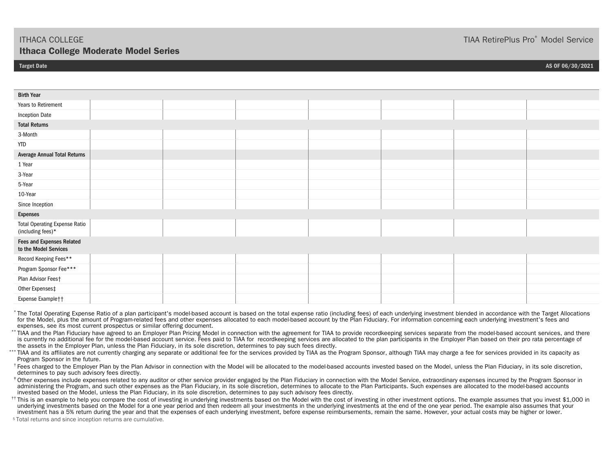### TIAA RetirePlus Pro® Model Service

#### **Target Date AS OF 06/30/2021**

Birth YearYears to RetirementInception Date Total Returns3-MonthYTDAverage Annual Total Returns 1 Year3-Year5-Year10-YearSince Inception Expenses Total Operating Expense Ratio (including fees)\* Fees and Expenses Related to the Model ServicesRecord Keeping Fees\*\* Program Sponsor Fee\*\*\* Plan Advisor Fees† Other Expenses‡ Expense Example††

 \* The Total Operating Expense Ratio of a plan participant's model-based account is based on the total expense ratio (including fees) of each underlying investment blended in accordance with the Target Allocations for the Model, plus the amount of Program-related fees and other expenses allocated to each model-based account by the Plan Fiduciary. For information concerning each underlying investment's fees and expenses, see its most current prospectus or similar offering document.

\*\* TIAA and the Plan Fiduciary have agreed to an Employer Plan Pricing Model in connection with the agreement for TIAA to provide recordkeeping services separate from the model-based account services, and there is currently no additional fee for the model-based account service. Fees paid to TIAA for recordkeeping services are allocated to the plan participants in the Employer Plan based on their pro rata percentage of the assets in the Employer Plan, unless the Plan Fiduciary, in its sole discretion, determines to pay such fees directly.

\*\*\* TIAA and its affiliates are not currently charging any separate or additional fee for the services provided by TIAA as the Program Sponsor, although TIAA may charge a fee for services provided in its capacity as Program Sponsor in the future.

 $^{\dagger}$  Fees charged to the Employer Plan by the Plan Advisor in connection with the Model will be allocated to the model-based accounts invested based on the Model, unless the Plan Fiduciary, in its sole discretion, determines to pay such advisory fees directly.

 ‡ Other expenses include expenses related to any auditor or other service provider engaged by the Plan Fiduciary in connection with the Model Service, extraordinary expenses incurred by the Program Sponsor in administering the Program, and such other expenses as the Plan Fiduciary, in its sole discretion, determines to allocate to the Plan Participants. Such expenses are allocated to the model-based accounts invested based on the Model, unless the Plan Fiduciary, in its sole discretion, determines to pay such advisory fees directly.

<sup>††</sup> This is an example to help you compare the cost of investing in underlying investments based on the Model with the cost of investing in other investment options. The example assumes that you invest \$1,000 in underlying investments based on the Model for a one year period and then redeem all your investments in the underlying investments at the end of the one year period. The example also assumes that your investment has a 5% return during the year and that the expenses of each underlying investment, before expense reimbursements, remain the same. However, your actual costs may be higher or lower.

5 Total returns and since inception returns are cumulative.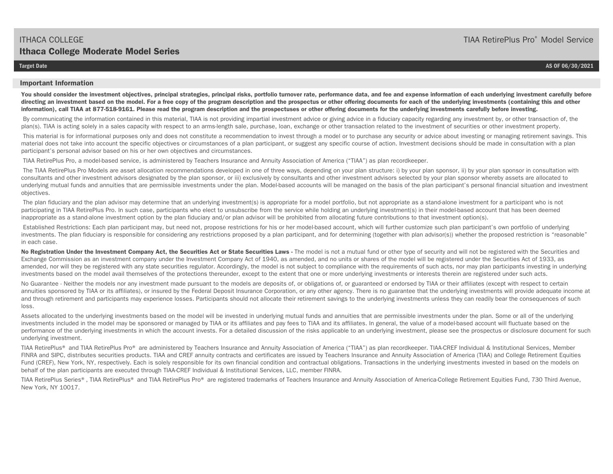**Target Date AS OF 06/30/2021** 

#### **Important Information**

You should consider the investment objectives, principal strategies, principal risks, portfolio turnover rate, performance data, and fee and expense information of each underlying investment carefully before **directing an investment based on the model. For a free copy of the program description and the prospectus or other offering documents for each of the underlying investments (containing this and other information), call TIAA at 877-518-9161. Please read the program description and the prospectuses or other offering documents for the underlying investments carefully before investing.** 

By communicating the information contained in this material, TIAA is not providing impartial investment advice or giving advice in a fiduciary capacity regarding any investment by, or other transaction of, the plan(s). TIAA is acting solely in a sales capacity with respect to an arms-length sale, purchase, loan, exchange or other transaction related to the investment of securities or other investment property.

This material is for informational purposes only and does not constitute a recommendation to invest through a model or to purchase any security or advice about investing or managing retirement savings. This material does not take into account the specific objectives or circumstances of a plan participant, or suggest any specific course of action. Investment decisions should be made in consultation with a plan participant's personal advisor based on his or her own objectives and circumstances.

TIAA RetirePlus Pro, a model-based service, is administered by Teachers Insurance and Annuity Association of America ("TIAA") as plan recordkeeper.

 The TIAA RetirePlus Pro Models are asset allocation recommendations developed in one of three ways, depending on your plan structure: i) by your plan sponsor, ii) by your plan sponsor in consultation with consultants and other investment advisors designated by the plan sponsor, or iii) exclusively by consultants and other investment advisors selected by your plan sponsor whereby assets are allocated to underlying mutual funds and annuities that are permissible investments under the plan. Model-based accounts will be managed on the basis of the plan participant's personal financial situation and investment objectives.

The plan fiduciary and the plan advisor may determine that an underlying investment(s) is appropriate for a model portfolio, but not appropriate as a stand-alone investment for a participant who is not participating in TIAA RetirePlus Pro. In such case, participants who elect to unsubscribe from the service while holding an underlying investment(s) in their model-based account that has been deemed inappropriate as a stand-alone investment option by the plan fiduciary and/or plan advisor will be prohibited from allocating future contributions to that investment option(s).

Established Restrictions: Each plan participant may, but need not, propose restrictions for his or her model-based account, which will further customize such plan participant's own portfolio of underlying investments. The plan fiduciary is responsible for considering any restrictions proposed by a plan participant, and for determining (together with plan advisor(s)) whether the proposed restriction is "reasonable" in each case.

No Registration Under the Investment Company Act, the Securities Act or State Securities Laws - The model is not a mutual fund or other type of security and will not be registered with the Securities and Exchange Commission as an investment company under the Investment Company Act of 1940, as amended, and no units or shares of the model will be registered under the Securities Act of 1933, as amended, nor will they be registered with any state securities regulator. Accordingly, the model is not subject to compliance with the requirements of such acts, nor may plan participants investing in underlying investments based on the model avail themselves of the protections thereunder, except to the extent that one or more underlying investments or interests therein are registered under such acts.

No Guarantee - Neither the models nor any investment made pursuant to the models are deposits of, or obligations of, or guaranteed or endorsed by TIAA or their affiliates (except with respect to certain annuities sponsored by TIAA or its affiliates), or insured by the Federal Deposit Insurance Corporation, or any other agency. There is no guarantee that the underlying investments will provide adequate income at and through retirement and participants may experience losses. Participants should not allocate their retirement savings to the underlying investments unless they can readily bear the consequences of such loss.

Assets allocated to the underlying investments based on the model will be invested in underlying mutual funds and annuities that are permissible investments under the plan. Some or all of the underlying investments included in the model may be sponsored or managed by TIAA or its affiliates and pay fees to TIAA and its affiliates. In general, the value of a model-based account will fluctuate based on the performance of the underlying investments in which the account invests. For a detailed discussion of the risks applicable to an underlying investment, please see the prospectus or disclosure document for such underlying investment.

TIAA RetirePlus® and TIAA RetirePlus Pro® are administered by Teachers Insurance and Annuity Association of America ("TIAA") as plan recordkeeper. TIAA-CREF Individual & Institutional Services, Member FINRA and SIPC, distributes securities products. TIAA and CREF annuity contracts and certificates are issued by Teachers Insurance and Annuity Association of America (TIAA) and College Retirement Equities Fund (CREF), New York, NY, respectively. Each is solely responsible for its own financial condition and contractual obligations. Transactions in the underlying investments invested in based on the models on behalf of the plan participants are executed through TIAA-CREF Individual & Institutional Services, LLC, member FINRA.

TIAA RetirePlus Series®, TIAA RetirePlus® and TIAA RetirePlus Pro® are registered trademarks of Teachers Insurance and Annuity Association of America-College Retirement Equities Fund, 730 Third Avenue, New York, NY 10017.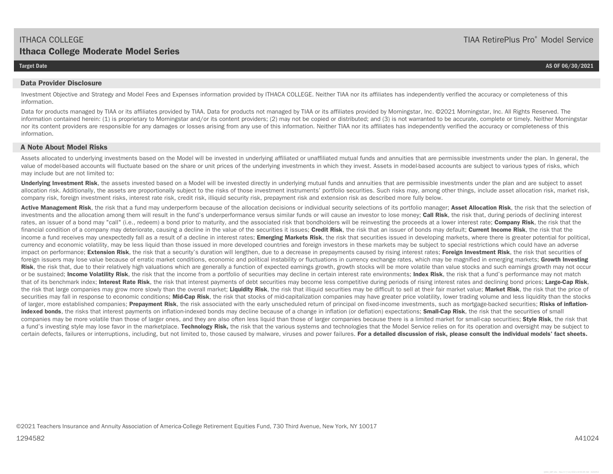#### **Data Provider Disclosure**

Investment Objective and Strategy and Model Fees and Expenses information provided by ITHACA COLLEGE. Neither TIAA nor its affiliates has independently verified the accuracy or completeness of this information.

Data for products managed by TIAA or its affiliates provided by TIAA. Data for products not managed by TIAA or its affiliates provided by Morningstar, Inc. ©2021 Morningstar, Inc. All Rights Reserved. The information contained herein: (1) is proprietary to Morningstar and/or its content providers; (2) may not be copied or distributed; and (3) is not warranted to be accurate, complete or timely. Neither Morningstar nor its content providers are responsible for any damages or losses arising from any use of this information. Neither TIAA nor its affiliates has independently verified the accuracy or completeness of this information.

#### **A Note About Model Risks**

Assets allocated to underlying investments based on the Model will be invested in underlying affiliated or unaffiliated mutual funds and annuities that are permissible investments under the plan. In general, the value of model-based accounts will fluctuate based on the share or unit prices of the underlying investments in which they invest. Assets in model-based accounts are subject to various types of risks, which may include but are not limited to:

Underlying Investment Risk, the assets invested based on a Model will be invested directly in underlying mutual funds and annuities that are permissible investments under the plan and are subject to asset allocation risk. Additionally, the assets are proportionally subject to the risks of those investment instruments' portfolio securities. Such risks may, among other things, include asset allocation risk, market risk, marke company risk, foreign investment risks, interest rate risk, credit risk, illiquid security risk, prepayment risk and extension risk as described more fully below.

Active Management Risk, the risk that a fund may underperform because of the allocation decisions or individual security selections of its portfolio manager; Asset Allocation Risk, the risk that the selection of investments and the allocation among them will result in the fund's underperformance versus similar funds or will cause an investor to lose money; **Call Risk**, the risk that, during periods of declining interest rates, an issuer of a bond may "call" (i.e., redeem) a bond prior to maturity, and the associated risk that bondholders will be reinvesting the proceeds at a lower interest rate; Company Risk, the risk that the financial condition of a company may deteriorate, causing a decline in the value of the securities it issues; **Credit Risk**, the risk that an issuer of bonds may default; **Current Income Risk**, the risk that the income a fund receives may unexpectedly fall as a result of a decline in interest rates; **Emerging Markets Risk**, the risk that securities issued in developing markets, where there is greater potential for political, currency and economic volatility, may be less liquid than those issued in more developed countries and foreign investors in these markets may be subject to special restrictions which could have an adverse impact on performance; **Extension Risk**, the risk that a security's duration will lengthen, due to a decrease in prepayments caused by rising interest rates; **Foreign Investment Risk**, the risk that securities of foreign issuers may lose value because of erratic market conditions, economic and political instability or fluctuations in currency exchange rates, which may be magnified in emerging markets; **Growth Investing**  Risk, the risk that, due to their relatively high valuations which are generally a function of expected earnings growth, growth stocks will be more volatile than value stocks and such earnings growth may not occur or be sustained; **Income Volatility Risk**, the risk that the income from a portfolio of securities may decline in certain interest rate environments; **Index Risk**, the risk that a fund's performance may not match that of its benchmark index; **Interest Rate Risk**, the risk that interest payments of debt securities may become less competitive during periods of rising interest rates and declining bond prices; **Large-Cap Risk**, the risk that large companies may grow more slowly than the overall market; Liquidity Risk, the risk that illiquid securities may be difficult to sell at their fair market value; Market Risk, the risk that the price of securities may fall in response to economic conditions; Mid-Cap Risk, the risk that stocks of mid-capitalization companies may have greater price volatility, lower trading volume and less liquidity than the stocks of larger, more established companies; **Prepayment Risk**, the risk associated with the early unscheduled return of principal on fixed-income investments, such as mortgage-backed securities; **Risks of inflationindexed bonds**, the risks that interest payments on inflation-indexed bonds may decline because of a change in inflation (or deflation) expectations; **Small-Cap Risk**, the risk that the securities of small companies may be more volatile than those of larger ones, and they are also often less liquid than those of larger companies because there is a limited market for small-cap securities; **Style Risk**, the risk that a fund's investing style may lose favor in the marketplace. Technology Risk, the risk that the various systems and technologies that the Model Service relies on for its operation and oversight may be subject to certain defects, failures or interruptions, including, but not limited to, those caused by malware, viruses and power failures. **For a detailed discussion of risk, please consult the individual models' fact sheets.** 

#### **Target Date AS OF 06/30/2021**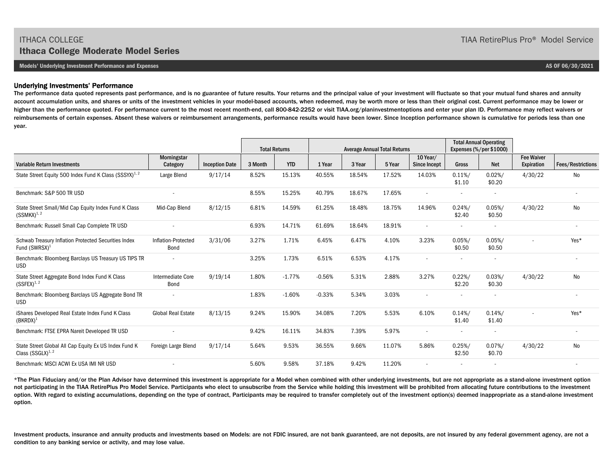**Models' Underlying Investment Performance and Expenses AS OF 06/30/2021** 

#### Underlying Investments' Performance

The performance data quoted represents past performance, and is no guarantee of future results. Your returns and the principal value of your investment will fluctuate so that your mutual fund shares and annuity account accumulation units, and shares or units of the investment vehicles in your model-based accounts, when redeemed, may be worth more or less than their original cost. Current performance may be lower or higher than the performance quoted. For performance current to the most recent month-end, call 800-842-2252 or visit TIAA.org/planinvestmentoptions and enter your plan ID. Performance may reflect waivers or reimbursements of certain expenses. Absent these waivers or reimbursement arrangements, performance results would have been lower. Since Inception performance shown is cumulative for periods less than one year.

|                                                                                   |                             |                       |         | <b>Total Returns</b> | <b>Average Annual Total Returns</b> |        |        |                                 | <b>Total Annual Operating</b><br>Expenses (%/per \$1000) |                          |                                 |                          |
|-----------------------------------------------------------------------------------|-----------------------------|-----------------------|---------|----------------------|-------------------------------------|--------|--------|---------------------------------|----------------------------------------------------------|--------------------------|---------------------------------|--------------------------|
| <b>Variable Return Investments</b>                                                | Morningstar<br>Category     | <b>Inception Date</b> | 3 Month | <b>YTD</b>           | 1 Year                              | 3 Year | 5 Year | 10 Year/<br><b>Since Incept</b> | <b>Gross</b>                                             | <b>Net</b>               | <b>Fee Waiver</b><br>Expiration | <b>Fees/Restrictions</b> |
| State Street Equity 500 Index Fund K Class (SSSYX) <sup>1, 2</sup>                | Large Blend                 | 9/17/14               | 8.52%   | 15.13%               | 40.55%                              | 18.54% | 17.52% | 14.03%                          | $0.11\%/$<br>\$1.10                                      | 0.02%<br>\$0.20          | 4/30/22                         | No                       |
| Benchmark: S&P 500 TR USD                                                         |                             |                       | 8.55%   | 15.25%               | 40.79%                              | 18.67% | 17.65% |                                 |                                                          | $\overline{\phantom{a}}$ |                                 |                          |
| State Street Small/Mid Cap Equity Index Fund K Class<br>$(SSMKX)^{1,2}$           | Mid-Cap Blend               | 8/12/15               | 6.81%   | 14.59%               | 61.25%                              | 18.48% | 18.75% | 14.96%                          | 0.24%/<br>\$2.40                                         | $0.05\%/$<br>\$0.50      | 4/30/22                         | <b>No</b>                |
| Benchmark: Russell Small Cap Complete TR USD                                      |                             |                       | 6.93%   | 14.71%               | 61.69%                              | 18.64% | 18.91% | $\overline{a}$                  |                                                          | $\overline{\phantom{a}}$ |                                 | $\sim$                   |
| Schwab Treasury Inflation Protected Securities Index<br>Fund (SWRSX) <sup>1</sup> | Inflation-Protected<br>Bond | 3/31/06               | 3.27%   | 1.71%                | 6.45%                               | 6.47%  | 4.10%  | 3.23%                           | $0.05\%/$<br>\$0.50                                      | $0.05\%/$<br>\$0.50      |                                 | Yes*                     |
| Benchmark: Bloomberg Barclays US Treasury US TIPS TR<br><b>USD</b>                | $\sim$                      |                       | 3.25%   | 1.73%                | 6.51%                               | 6.53%  | 4.17%  |                                 |                                                          | $\overline{\phantom{a}}$ |                                 |                          |
| State Street Aggregate Bond Index Fund K Class<br>$(SSFEX)^{1, 2}$                | Intermediate Core<br>Bond   | 9/19/14               | 1.80%   | $-1.77%$             | $-0.56%$                            | 5.31%  | 2.88%  | 3.27%                           | 0.22%/<br>\$2.20                                         | $0.03\%/$<br>\$0.30      | 4/30/22                         | No                       |
| Benchmark: Bloomberg Barclays US Aggregate Bond TR<br><b>USD</b>                  | $\sim$                      |                       | 1.83%   | $-1.60%$             | $-0.33%$                            | 5.34%  | 3.03%  |                                 |                                                          |                          |                                 |                          |
| iShares Developed Real Estate Index Fund K Class<br>$(BKRDX)^1$                   | <b>Global Real Estate</b>   | 8/13/15               | 9.24%   | 15.90%               | 34.08%                              | 7.20%  | 5.53%  | 6.10%                           | 0.14%/<br>\$1.40                                         | 0.14%/<br>\$1.40         | $\sim$                          | Yes*                     |
| Benchmark: FTSE EPRA Nareit Developed TR USD                                      |                             |                       | 9.42%   | 16.11%               | 34.83%                              | 7.39%  | 5.97%  | $\overline{\phantom{a}}$        |                                                          | $\overline{\phantom{a}}$ |                                 |                          |
| State Street Global All Cap Equity Ex US Index Fund K<br>Class $(SSGLX)^{1, 2}$   | Foreign Large Blend         | 9/17/14               | 5.64%   | 9.53%                | 36.55%                              | 9.66%  | 11.07% | 5.86%                           | 0.25%<br>\$2.50                                          | $0.07\%/$<br>\$0.70      | 4/30/22                         | No                       |
| Benchmark: MSCI ACWI Ex USA IMI NR USD                                            |                             |                       | 5.60%   | 9.58%                | 37.18%                              | 9.42%  | 11.20% |                                 |                                                          |                          |                                 |                          |

\*The Plan Fiduciary and/or the Plan Advisor have determined this investment is appropriate for a Model when combined with other underlying investments, but are not appropriate as a stand-alone investment option not participating in the TIAA RetirePlus Pro Model Service. Participants who elect to unsubscribe from the Service while holding this investment will be prohibited from allocating future contributions to the investment option. With regard to existing accumulations, depending on the type of contract, Participants may be required to transfer completely out of the investment option(s) deemed inappropriate as a stand-alone investment option.

Investment products, insurance and annuity products and investments based on Models: are not FDIC insured, are not bank guaranteed, are not deposits, are not insured by any federal government agency, are not a condition to any banking service or activity, and may lose value.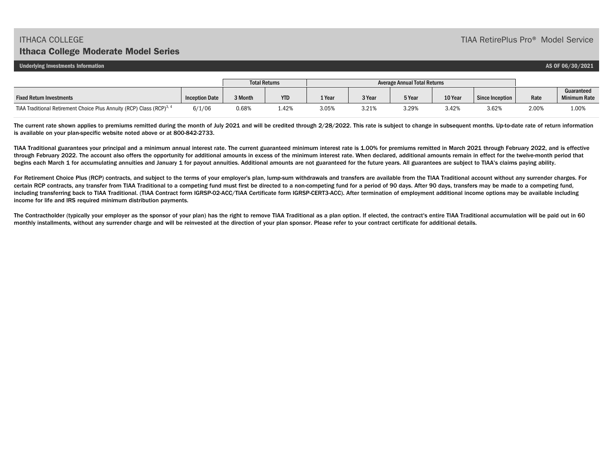**Underlying Investments Information AS OF 06/30/2021** 

|                                                                                   | <b>Total Returns</b>  |         | Average Annual Total Returns |        |        |        |         |                 |       |                                   |
|-----------------------------------------------------------------------------------|-----------------------|---------|------------------------------|--------|--------|--------|---------|-----------------|-------|-----------------------------------|
| <b>Fixed Return Investments</b>                                                   | <b>Inception Date</b> | 3 Month | <b>YTD</b>                   | 1 Year | 3 Year | 5 Year | 10 Year | Since Inception | Rate  | Guaranteed<br><b>Minimum Rate</b> |
| TIAA Traditional Retirement Choice Plus Annuity (RCP) Class (RCP) <sup>3, 4</sup> | 6/1/06                | 0.68%   | 1.42%                        | 3.05%  | 3.21%  | 3.29%  | 3.42%   | 3.62%           | 2.00% | 1.00%                             |

The current rate shown applies to premiums remitted during the month of July 2021 and will be credited through 2/28/2022. This rate is subject to change in subsequent months. Up-to-date rate of return information is available on your plan-specific website noted above or at 800-842-2733.

TIAA Traditional guarantees your principal and a minimum annual interest rate. The current guaranteed minimum interest rate is 1.00% for premiums remitted in March 2021 through February 2022, and is effective through February 2022. The account also offers the opportunity for additional amounts in excess of the minimum interest rate. When declared, additional amounts remain in effect for the twelve-month period that begins each March 1 for accumulating annuities and January 1 for payout annuities. Additional amounts are not guaranteed for the future years. All guarantees are subject to TIAA's claims paying ability.

For Retirement Choice Plus (RCP) contracts, and subject to the terms of your employer's plan, lump-sum withdrawals and transfers are available from the TIAA Traditional account without any surrender charges. For certain RCP contracts, any transfer from TIAA Traditional to a competing fund must first be directed to a non-competing fund for a period of 90 days. After 90 days, transfers may be made to a competing fund, including transferring back to TIAA Traditional. (TIAA Contract form IGRSP-02-ACC/TIAA Certificate form IGRSP-CERT3-ACC). After termination of employment additional income options may be available including income for life and IRS required minimum distribution payments.

The Contractholder (typically your employer as the sponsor of your plan) has the right to remove TIAA Traditional as a plan option. If elected, the contract's entire TIAA Traditional accumulation will be paid out in 60 monthly installments, without any surrender charge and will be reinvested at the direction of your plan sponsor. Please refer to your contract certificate for additional details.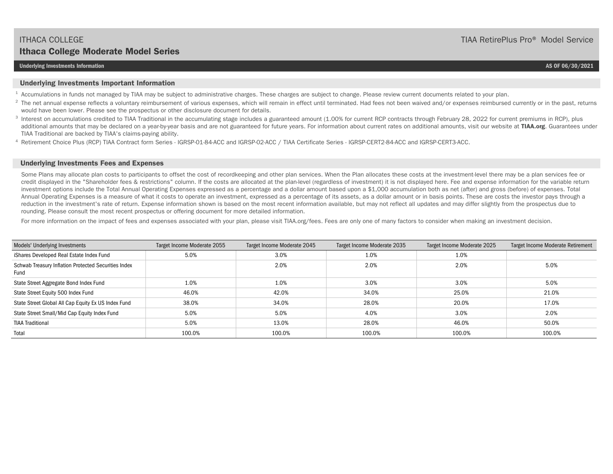#### **Underlying Investments Information AS OF 06/30/2021**

#### **Underlying Investments Important Information**

- <sup>1</sup> Accumulations in funds not managed by TIAA may be subject to administrative charges. These charges are subject to change. Please review current documents related to your plan.
- <sup>2</sup> The net annual expense reflects a voluntary reimbursement of various expenses, which will remain in effect until terminated. Had fees not been waived and/or expenses reimbursed currently or in the past, returns would have been lower. Please see the prospectus or other disclosure document for details.
- <sup>3</sup> Interest on accumulations credited to TIAA Traditional in the accumulating stage includes a guaranteed amount (1.00% for current RCP contracts through February 28, 2022 for current premiums in RCP), plus additional amounts that may be declared on a year-by-year basis and are not guaranteed for future years. For information about current rates on additional amounts, visit our website at **TIAA.org**. Guarantees under TIAA Traditional are backed by TIAA's claims-paying ability.
- 4 Retirement Choice Plus (RCP) TIAA Contract form Series IGRSP-01-84-ACC and IGRSP-02-ACC / TIAA Certificate Series IGRSP-CERT2-84-ACC and IGRSP-CERT3-ACC.

#### **Underlying Investments Fees and Expenses**

Some Plans may allocate plan costs to participants to offset the cost of recordkeeping and other plan services. When the Plan allocates these costs at the investment-level there may be a plan services fee or credit displayed in the "Shareholder fees & restrictions" column. If the costs are allocated at the plan-level (regardless of investment) it is not displayed here. Fee and expense information for the variable return investment options include the Total Annual Operating Expenses expressed as a percentage and a dollar amount based upon a \$1,000 accumulation both as net (after) and gross (before) of expenses. Total Annual Operating Expenses is a measure of what it costs to operate an investment, expressed as a percentage of its assets, as a dollar amount or in basis points. These are costs the investor pays through a reduction in the investment's rate of return. Expense information shown is based on the most recent information available, but may not reflect all updates and may differ slightly from the prospectus due to rounding. Please consult the most recent prospectus or offering document for more detailed information.

For more information on the impact of fees and expenses associated with your plan, please visit TIAA.org/fees. Fees are only one of many factors to consider when making an investment decision.

| Models' Underlying Investments                               | Target Income Moderate 2055 | Target Income Moderate 2045 | Target Income Moderate 2035 | Target Income Moderate 2025 | Target Income Moderate Retirement |
|--------------------------------------------------------------|-----------------------------|-----------------------------|-----------------------------|-----------------------------|-----------------------------------|
| iShares Developed Real Estate Index Fund                     | 5.0%                        | 3.0%                        | 1.0%                        | 1.0%                        |                                   |
| Schwab Treasury Inflation Protected Securities Index<br>Fund |                             | 2.0%                        | 2.0%                        | 2.0%                        | 5.0%                              |
| State Street Aggregate Bond Index Fund                       | 1.0%                        | 1.0%                        | 3.0%                        | 3.0%                        | 5.0%                              |
| State Street Equity 500 Index Fund                           | 46.0%                       | 42.0%                       | 34.0%                       | 25.0%                       | 21.0%                             |
| State Street Global All Cap Equity Ex US Index Fund          | 38.0%                       | 34.0%                       | 28.0%                       | 20.0%                       | 17.0%                             |
| State Street Small/Mid Cap Equity Index Fund                 | 5.0%                        | 5.0%                        | 4.0%                        | 3.0%                        | 2.0%                              |
| <b>TIAA Traditional</b>                                      | 5.0%                        | 13.0%                       | 28.0%                       | 46.0%                       | 50.0%                             |
| Total                                                        | 100.0%                      | 100.0%                      | 100.0%                      | 100.0%                      | 100.0%                            |